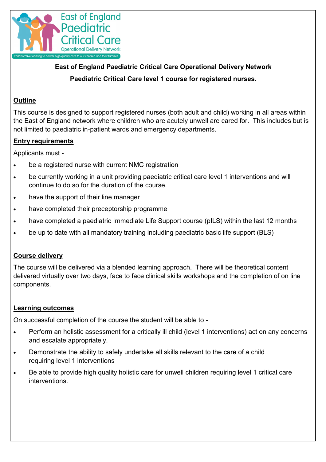

**East of England Paediatric Critical Care Operational Delivery Network Paediatric Critical Care level 1 course for registered nurses.**

## **Outline**

This course is designed to support registered nurses (both adult and child) working in all areas within the East of England network where children who are acutely unwell are cared for. This includes but is not limited to paediatric in-patient wards and emergency departments.

## **Entry requirements**

Applicants must -

- be a registered nurse with current NMC registration
- be currently working in a unit providing paediatric critical care level 1 interventions and will continue to do so for the duration of the course.
- have the support of their line manager
- have completed their preceptorship programme
- have completed a paediatric Immediate Life Support course (pILS) within the last 12 months
- be up to date with all mandatory training including paediatric basic life support (BLS)

### **Course delivery**

The course will be delivered via a blended learning approach. There will be theoretical content delivered virtually over two days, face to face clinical skills workshops and the completion of on line components.

### **Learning outcomes**

On successful completion of the course the student will be able to -

- Perform an holistic assessment for a critically ill child (level 1 interventions) act on any concerns and escalate appropriately.
- Demonstrate the ability to safely undertake all skills relevant to the care of a child requiring level 1 interventions
- Be able to provide high quality holistic care for unwell children requiring level 1 critical care interventions.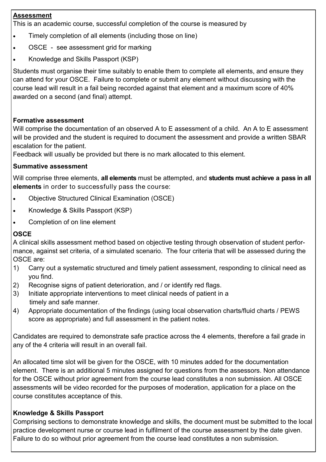## **Assessment**

This is an academic course, successful completion of the course is measured by

- Timely completion of all elements (including those on line)
- OSCE see assessment grid for marking
- Knowledge and Skills Passport (KSP)

Students must organise their time suitably to enable them to complete all elements, and ensure they can attend for your OSCE. Failure to complete or submit any element without discussing with the course lead will result in a fail being recorded against that element and a maximum score of 40% awarded on a second (and final) attempt.

## **Formative assessment**

Will comprise the documentation of an observed A to E assessment of a child. An A to E assessment will be provided and the student is required to document the assessment and provide a written SBAR escalation for the patient.

Feedback will usually be provided but there is no mark allocated to this element.

## **Summative assessment**

Will comprise three elements, **all elements** must be attempted, and **students must achieve a pass in all elements** in order to successfully pass the course:

- Objective Structured Clinical Examination (OSCE)
- Knowledge & Skills Passport (KSP)
- Completion of on line element

# **OSCE**

A clinical skills assessment method based on objective testing through observation of student performance, against set criteria, of a simulated scenario. The four criteria that will be assessed during the OSCE are:

- 1) Carry out a systematic structured and timely patient assessment, responding to clinical need as you find.
- 2) Recognise signs of patient deterioration, and / or identify red flags.
- 3) Initiate appropriate interventions to meet clinical needs of patient in a timely and safe manner.
- 4) Appropriate documentation of the findings (using local observation charts/fluid charts / PEWS score as appropriate) and full assessment in the patient notes.

Candidates are required to demonstrate safe practice across the 4 elements, therefore a fail grade in any of the 4 criteria will result in an overall fail.

An allocated time slot will be given for the OSCE, with 10 minutes added for the documentation element. There is an additional 5 minutes assigned for questions from the assessors. Non attendance for the OSCE without prior agreement from the course lead constitutes a non submission. All OSCE assessments will be video recorded for the purposes of moderation, application for a place on the course constitutes acceptance of this.

# **Knowledge & Skills Passport**

Comprising sections to demonstrate knowledge and skills, the document must be submitted to the local practice development nurse or course lead in fulfilment of the course assessment by the date given. Failure to do so without prior agreement from the course lead constitutes a non submission.